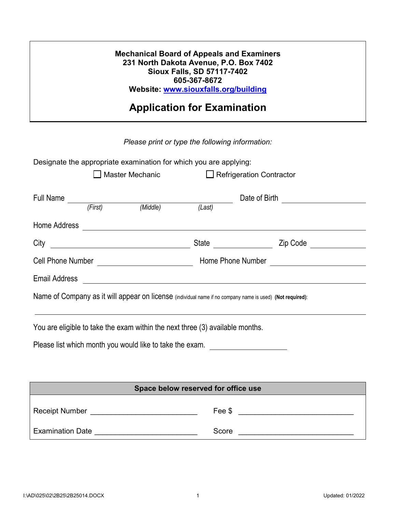| <b>Mechanical Board of Appeals and Examiners</b> |
|--------------------------------------------------|
| 231 North Dakota Avenue, P.O. Box 7402           |
| <b>Sioux Falls, SD 57117-7402</b>                |
| 605-367-8672                                     |
| Website: www.siouxfalls.org/building             |

## **Application for Examination**

## *Please print or type the following information:*

| Designate the appropriate examination for which you are applying:<br><b>Master Mechanic</b><br>$\Box$ Refrigeration Contractor |  |                  |                                      |                                   |  |
|--------------------------------------------------------------------------------------------------------------------------------|--|------------------|--------------------------------------|-----------------------------------|--|
| Full Name                                                                                                                      |  | (First) (Middle) | (Last)                               | Date of Birth <b>Example 20</b>   |  |
| Home Address                                                                                                                   |  |                  |                                      |                                   |  |
| City                                                                                                                           |  |                  | State                                | Zip Code<br><u> Alban Maria (</u> |  |
|                                                                                                                                |  |                  | Home Phone Number <b>Figure 2018</b> |                                   |  |
| <b>Email Address</b>                                                                                                           |  |                  |                                      |                                   |  |
| Name of Company as it will appear on license (individual name if no company name is used) (Not required):                      |  |                  |                                      |                                   |  |
| You are eligible to take the exam within the next three (3) available months.                                                  |  |                  |                                      |                                   |  |

Please list which month you would like to take the exam.

| Space below reserved for office use |        |  |  |
|-------------------------------------|--------|--|--|
| <b>Receipt Number</b>               | Fee \$ |  |  |
| <b>Examination Date</b>             | Score  |  |  |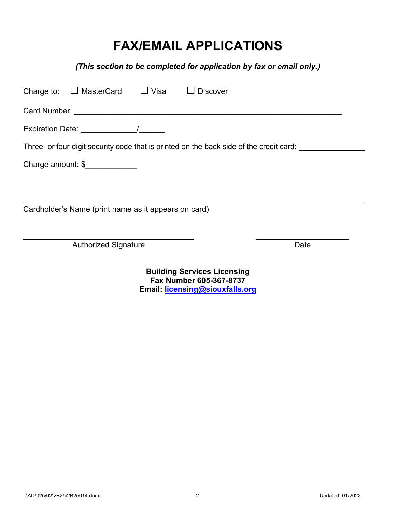# **FAX/EMAIL APPLICATIONS**

*(This section to be completed for application by fax or email only.)*

|                   | Charge to: $\Box$ MasterCard $\Box$ Visa             |  | $\Box$ Discover                                                                         |      |
|-------------------|------------------------------------------------------|--|-----------------------------------------------------------------------------------------|------|
|                   |                                                      |  |                                                                                         |      |
|                   |                                                      |  |                                                                                         |      |
|                   |                                                      |  | Three- or four-digit security code that is printed on the back side of the credit card: |      |
| Charge amount: \$ |                                                      |  |                                                                                         |      |
|                   |                                                      |  |                                                                                         |      |
|                   | Cardholder's Name (print name as it appears on card) |  |                                                                                         |      |
|                   |                                                      |  |                                                                                         |      |
|                   |                                                      |  |                                                                                         | Date |
|                   | <b>Authorized Signature</b>                          |  |                                                                                         |      |

**Building Services Licensing Fax Number 605-367-8737 Email: licensing@siouxfalls.org**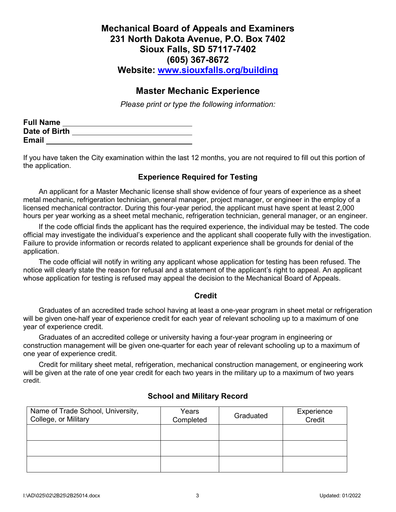## **Mechanical Board of Appeals and Examiners 231 North Dakota Avenue, P.O. Box 7402 Sioux Falls, SD 57117-7402 (605) 367-8672 Website: www.siouxfalls.org/building**

## **Master Mechanic Experience**

*Please print or type the following information:*

| <b>Full Name</b> |  |
|------------------|--|
| Date of Birth    |  |
| <b>Email</b>     |  |

If you have taken the City examination within the last 12 months, you are not required to fill out this portion of the application.

## **Experience Required for Testing**

An applicant for a Master Mechanic license shall show evidence of four years of experience as a sheet metal mechanic, refrigeration technician, general manager, project manager, or engineer in the employ of a licensed mechanical contractor. During this four-year period, the applicant must have spent at least 2,000 hours per year working as a sheet metal mechanic, refrigeration technician, general manager, or an engineer.

If the code official finds the applicant has the required experience, the individual may be tested. The code official may investigate the individual's experience and the applicant shall cooperate fully with the investigation. Failure to provide information or records related to applicant experience shall be grounds for denial of the application.

The code official will notify in writing any applicant whose application for testing has been refused. The notice will clearly state the reason for refusal and a statement of the applicant's right to appeal. An applicant whose application for testing is refused may appeal the decision to the Mechanical Board of Appeals.

#### **Credit**

Graduates of an accredited trade school having at least a one-year program in sheet metal or refrigeration will be given one-half year of experience credit for each year of relevant schooling up to a maximum of one year of experience credit.

Graduates of an accredited college or university having a four-year program in engineering or construction management will be given one-quarter for each year of relevant schooling up to a maximum of one year of experience credit.

Credit for military sheet metal, refrigeration, mechanical construction management, or engineering work will be given at the rate of one year credit for each two years in the military up to a maximum of two years credit.

| Name of Trade School, University,<br>College, or Military | Years<br>Completed | Graduated | Experience<br>Credit |
|-----------------------------------------------------------|--------------------|-----------|----------------------|
|                                                           |                    |           |                      |
|                                                           |                    |           |                      |
|                                                           |                    |           |                      |

## **School and Military Record**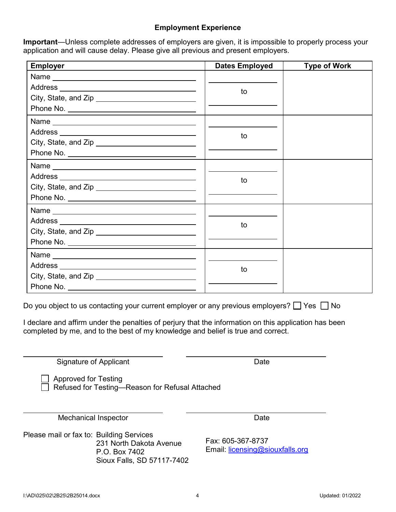#### **Employment Experience**

**Important**—Unless complete addresses of employers are given, it is impossible to properly process your application and will cause delay. Please give all previous and present employers.

| <b>Employer</b>                                    | <b>Dates Employed</b> | <b>Type of Work</b> |
|----------------------------------------------------|-----------------------|---------------------|
|                                                    |                       |                     |
|                                                    | to                    |                     |
|                                                    |                       |                     |
|                                                    |                       |                     |
|                                                    |                       |                     |
|                                                    | to                    |                     |
| City, State, and Zip _____________________________ |                       |                     |
|                                                    |                       |                     |
|                                                    |                       |                     |
|                                                    | to                    |                     |
|                                                    |                       |                     |
|                                                    |                       |                     |
|                                                    |                       |                     |
|                                                    | to                    |                     |
|                                                    |                       |                     |
|                                                    |                       |                     |
|                                                    |                       |                     |
|                                                    | to                    |                     |
|                                                    |                       |                     |
|                                                    |                       |                     |

Do you object to us contacting your current employer or any previous employers?  $\Box$  Yes  $\Box$  No

I declare and affirm under the penalties of perjury that the information on this application has been completed by me, and to the best of my knowledge and belief is true and correct.

Signature of Applicant Date **Date** 

 Approved for Testing Refused for Testing—Reason for Refusal Attached

Mechanical Inspector **Date** Date

Please mail or fax to: Building Services 231 North Dakota Avenue P.O. Box 7402 Sioux Falls, SD 57117-7402

Fax: 605-367-8737 Email: licensing@siouxfalls.org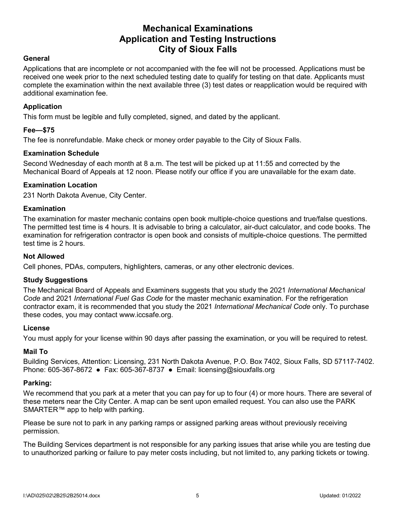## **Mechanical Examinations Application and Testing Instructions City of Sioux Falls**

#### **General**

Applications that are incomplete or not accompanied with the fee will not be processed. Applications must be received one week prior to the next scheduled testing date to qualify for testing on that date. Applicants must complete the examination within the next available three (3) test dates or reapplication would be required with additional examination fee.

#### **Application**

This form must be legible and fully completed, signed, and dated by the applicant.

#### **Fee—\$75**

The fee is nonrefundable. Make check or money order payable to the City of Sioux Falls.

#### **Examination Schedule**

Second Wednesday of each month at 8 a.m. The test will be picked up at 11:55 and corrected by the Mechanical Board of Appeals at 12 noon. Please notify our office if you are unavailable for the exam date.

#### **Examination Location**

231 North Dakota Avenue, City Center.

#### **Examination**

The examination for master mechanic contains open book multiple-choice questions and true/false questions. The permitted test time is 4 hours. It is advisable to bring a calculator, air-duct calculator, and code books. The examination for refrigeration contractor is open book and consists of multiple-choice questions. The permitted test time is 2 hours.

#### **Not Allowed**

Cell phones, PDAs, computers, highlighters, cameras, or any other electronic devices.

#### **Study Suggestions**

The Mechanical Board of Appeals and Examiners suggests that you study the 2021 *International Mechanical Code* and 2021 *International Fuel Gas Code* for the master mechanic examination. For the refrigeration contractor exam, it is recommended that you study the 2021 *International Mechanical Code* only. To purchase these codes, you may contact www.iccsafe.org.

#### **License**

You must apply for your license within 90 days after passing the examination, or you will be required to retest.

#### **Mail To**

Building Services, Attention: Licensing, 231 North Dakota Avenue, P.O. Box 7402, Sioux Falls, SD 57117-7402. Phone: 605-367-8672 ● Fax: 605-367-8737 ● Email: licensing@siouxfalls.org

#### **Parking:**

We recommend that you park at a meter that you can pay for up to four (4) or more hours. There are several of these meters near the City Center. A map can be sent upon emailed request. You can also use the PARK SMARTER™ app to help with parking.

Please be sure not to park in any parking ramps or assigned parking areas without previously receiving permission.

The Building Services department is not responsible for any parking issues that arise while you are testing due to unauthorized parking or failure to pay meter costs including, but not limited to, any parking tickets or towing.